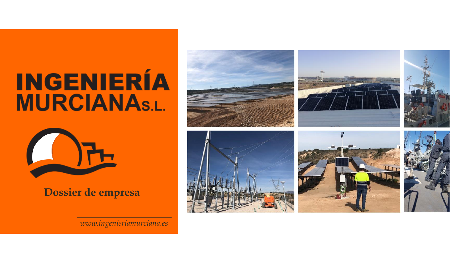# **INGENIERÍA MURCIANAS.L.**



**Dossier de empresa**

*www.ingenieriamurciana.es*

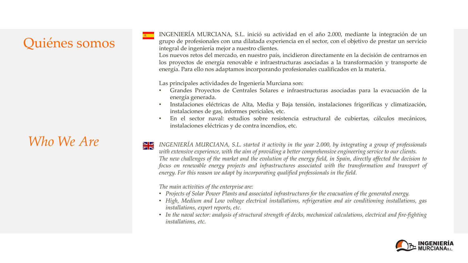# Quiénes somos

# *Who We Are*

INGENIERÍA MURCIANA, S.L. inició su actividad en el año 2.000, mediante la integración de un grupo de profesionales con una dilatada experiencia en el sector, con el objetivo de prestar un servicio integral de ingeniería mejor a nuestro clientes.

Los nuevos retos del mercado, en nuestro país, incidieron directamente en la decisión de centrarnos en los proyectos de energía renovable e infraestructuras asociadas a la transformación y transporte de energía. Para ello nos adaptamos incorporando profesionales cualificados en la materia.

Las principales actividades de Ingeniería Murciana son:

- Grandes Proyectos de Centrales Solares e infraestructuras asociadas para la evacuación de la energía generada.
- Instalaciones eléctricas de Alta, Media y Baja tensión, instalaciones frigoríficas y climatización, instalaciones de gas, informes periciales, etc.
- En el sector naval: estudios sobre resistencia estructural de cubiertas, cálculos mecánicos, instalaciones eléctricas y de contra incendios, etc.
- *INGENIERÍA MURCIANA, S.L. started it activity in the year 2.000, by integrating a group of professionals with extensive experience, with the aim of providing a better comprehensive engineering service to our clients.* The new challenges of the market and the evolution of the energy field, in Spain, directly affected the decision to *focus on renewable energy projects and infrastructures associated with the transformation and transport of energy. For this reason we adapt by incorporating qualified professionals in the field.*

*The main activities of the enterprise are:*

- *Projects of Solar Power Plants and associated infrastructures for the evacuation of the generated energy.*
- *High, Medium and Low voltage electrical installations, refrigeration and air conditioning installations, gas installations, expert reports, etc.*
- *In the naval sector: analysis of structural strength of decks, mechanical calculations, electrical and fire-fighting installations, etc.*

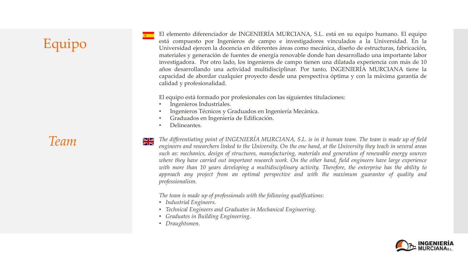# Equipo

El elemento diferenciador de INGENIERÍA MURCIANA, S.L. está en su equipo humano. El equipo está compuesto por Ingenieros de campo e investigadores vinculados a la Universidad. En la Universidad ejercen la docencia en diferentes áreas como mecánica, diseño de estructuras, fabricación, materiales y generación de fuentes de energía renovable donde han desarrollado una importante labor investigadora. Por otro lado, los ingenieros de campo tienen una dilatada experiencia con más de 10 años desarrollando una actividad multidisciplinar. Por tanto, INGENIERÍA MURCIANA tiene la capacidad de abordar cualquier proyecto desde una perspectiva óptima y con la máxima garantía de calidad y profesionalidad.

El equipo está formado por profesionales con las siguientes titulaciones:

- Ingenieros Industriales.
- Ingenieros Técnicos y Graduados en Ingeniería Mecánica.
- Graduados en Ingeniería de Edificación.
- Delineantes.

*Team*

 $\sum$  The differentiating point of INGENIERÍA MURCIANA, S.L. is in it human team. The team is made up of field engineers and researchers linked to the University. On the one hand, at the University they teach in several areas *such as: mechanics, design of structures, manufacturing, materials and generation of renewable energy sources* where they have carried out important research work. On the other hand, field engineers have large experience *with more than 10 years developing a multidisciplinary activity. Therefore, the enterprise has the ability to approach any project from an optimal perspective and with the maximum guarantee of quality and professionalism.*

*The team is made up of professionals with the following qualifications:*

- *Industrial Engineers.*
- *Technical Engineers and Graduates in Mechanical Engineering.*
- *Graduates in Building Engineering.*
- *Draughtsmen.*

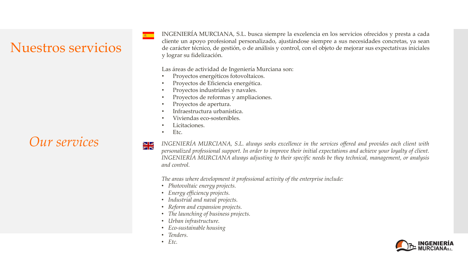# Nuestros servicios

INGENIERÍA MURCIANA, S.L. busca siempre la excelencia en los servicios ofrecidos y presta a cada cliente un apoyo profesional personalizado, ajustándose siempre a sus necesidades concretas, ya sean de carácter técnico, de gestión, o de análisis y control, con el objeto de mejorar sus expectativas iniciales y lograr su fidelización.

Las áreas de actividad de Ingeniería Murciana son:

- Proyectos energéticos fotovoltaicos.
- Proyectos de Eficiencia energética.
- Proyectos industriales y navales.
- Proyectos de reformas y ampliaciones.
- Proyectos de apertura.
- Infraestructura urbanística.
- Viviendas eco-sostenibles.
- Licitaciones.
- Etc.

 $\frac{1}{\sqrt{2}}$ 

 $Our$  Services  $\mathbb{R}^*$  INGENIERÍA MURCIANA, S.L. always seeks excellence in the services offered and provides each client with personalized professional support. In order to improve their initial expectations and achieve your loyalty of client. *INGENIERÍA MURCIANA always adjusting to their specific needs be they technical, management, or analysis and control.*

*The areas where development it professional activity of the enterprise include:*

- *Photovoltaic energy projects.*
- *Energy efficiency projects.*
- *Industrial and naval projects.*
- *Reform and expansion projects.*
- *The launching of business projects.*
- *Urban infrastructure.*
- *Eco-sustainable housing*
- *Tenders.*
- *Etc.*

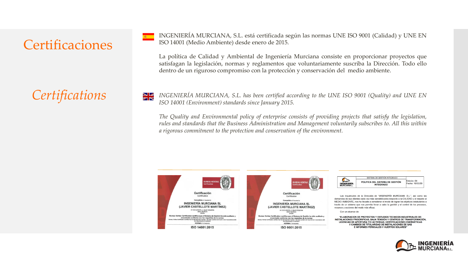## Certificaciones

INGENIERÍA MURCIANA, S.L. está certificada según las normas UNE ISO 9001 (Calidad) y UNE EN ISO 14001 (Medio Ambiente) desde enero de 2015.

La política de Calidad y Ambiental de Ingeniería Murciana consiste en proporcionar proyectos que satisfagan la legislación, normas y reglamentos que voluntariamente suscriba la Dirección. Todo ello dentro de un riguroso compromiso con la protección y conservación del medio ambiente.

 $Centifications$  INGENIERÍA MURCIANA, S.L. has been certified according to the UNE ISO 9001 (Quality) and UNE EN *ISO 14001 (Environment) standards since January 2015.*

> *The Quality and Environmental policy of enterprise consists of providing projects that satisfy the legislation, rules and standards that the Business Administration and Management voluntarily subscribes to. All this within a rigorous commitment to the protection and conservation of the environment.*





ISO 9001:2015

|                   | SISTEMA DE GESTIÓN INTEGRADO                        |                                |  |
|-------------------|-----------------------------------------------------|--------------------------------|--|
| <b>INGENIERÍA</b> | POLITICA DEL SISTEMA DE GESTIÓN<br><b>INTEGRADO</b> | Edición: 04<br>Fecha: 10/03/20 |  |

Las inquietudes de la Dirección de "INGENIERÍA MURCIANA, S.L.", así como las demandas de sus clientes cada vez más sensibilizados respecto a la CALIDAD y el respeto al MEDIO AMBIENTE, nos ha llevado a considerar el modo de lograr los objetivos estatutarios a través de un sistema que nos permita llevar a cabo la gestión y el control de los procesos, recursos y acciones del modo más eficaz.

Con un alcance de:

"ELABORACION DE PROYECTOS Y ESTUDIOS TECNICOS INDUSTRIALES DE: INSTALACIONES FRIGORIFICAS, BAJA TENSIÓN Y CENTROS DE TRANSFORMACIÓN. LICENCIAS DE APERTURA Y/O ACTIVIDAD, CERTIFICACIONES ENERGÉTICAS Y CAMBIOS DE TITULARIDAD DE INSTALACIONES DE GAS E INFORMES PERICIALES Y HUERTOS SOLARES'

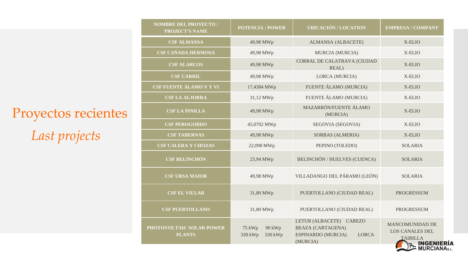Proyectos recientes *Last projects*

| <b>NOMBRE DEL PROYECTO /</b><br><b>PROJECT'S NAME</b> | <b>POTENCIA / POWER</b>                | <b>UBICACIÓN / LOCATION</b>                                                                           | <b>EMPRESA / COMPANY</b>                                                                     |
|-------------------------------------------------------|----------------------------------------|-------------------------------------------------------------------------------------------------------|----------------------------------------------------------------------------------------------|
| <b>CSF ALMANSA</b>                                    | 49,98 MWp                              | <b>ALMANSA (ALBACETE)</b>                                                                             | X-ELIO                                                                                       |
| <b>CSF CAÑADA HERMOSA</b>                             | 49,98 MWp                              | <b>MURCIA (MURCIA)</b>                                                                                | X-ELIO                                                                                       |
| <b>CSF ALARCOS</b>                                    | 49,98 MWp                              | CORRAL DE CALATRAVA (CIUDAD<br>REAL)                                                                  | X-ELIO                                                                                       |
| <b>CSF CARRIL</b>                                     | 49,98 MWp                              | LORCA (MURCIA)                                                                                        | X-ELIO                                                                                       |
| CSF FUENTE ÁLAMO V Y VI                               | 17,4384 MWp                            | FUENTE ÁLAMO (MURCIA)                                                                                 | X-ELIO                                                                                       |
| <b>CSF LA ALJORRA</b>                                 | 31,12 MWp                              | FUENTE ÁLAMO (MURCIA)                                                                                 | X-ELIO                                                                                       |
| <b>CSF LA PINILLA</b>                                 | 49,98 MWp                              | MAZARRÓN/FUENTE ÁLAMO<br>(MURCIA)                                                                     | X-ELIO                                                                                       |
| <b>CSF PEROGORDO</b>                                  | 45,0702 MWp                            | SEGOVIA (SEGOVIA)                                                                                     | X-ELIO                                                                                       |
| <b>CSF TABERNAS</b>                                   | 49,98 MWp                              | SORBAS (ALMERIA)                                                                                      | X-ELIO                                                                                       |
| <b>CSF CALERA Y CHOZAS</b>                            | 22,098 MWp                             | PEPINO (TOLEDO)                                                                                       | <b>SOLARIA</b>                                                                               |
| <b>CSF BELINCHÓN</b>                                  | 23,94 MWp                              | BELINCHÓN / HUELVES (CUENCA)                                                                          | <b>SOLARIA</b>                                                                               |
| <b>CSF URSA MAIOR</b>                                 | 49,98 MWp                              | VILLADANGO DEL PÁRAMO (LEÓN)                                                                          | <b>SOLARIA</b>                                                                               |
| <b>CSF EL VILLAR</b>                                  | 31,80 MWp                              | PUERTOLLANO (CIUDAD REAL)                                                                             | <b>PROGRESSUM</b>                                                                            |
| <b>CSF PUERTOLLANO</b>                                | 31,80 MWp                              | PUERTOLLANO (CIUDAD REAL)                                                                             | <b>PROGRESSUM</b>                                                                            |
| PHOTOVOLTAIC SOLAR POWER<br><b>PLANTS</b>             | 90 kWp<br>75 kWp<br>330 kWp<br>330 kWp | LETUR (ALBACETE) CABEZO<br><b>BEAZA (CARTAGENA)</b><br>ESPINARDO (MURCIA)<br><b>LORCA</b><br>(MURCIA) | <b>MANCOMUNIDAD DE</b><br><b>LOS CANALES DEL</b><br><b>TAIBILLA</b><br><b>THE INGENIERIA</b> |

İΔ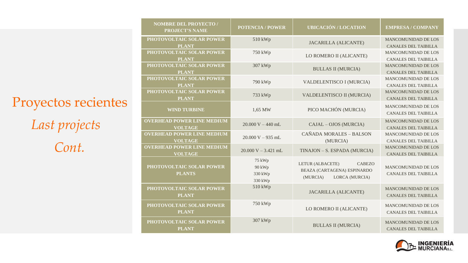*Cont.* Proyectos recientes *Last projects*

**PHOTOVOLTAIC SOL PLANT PHOTOVOLTAIC SO PLANT** 750 kWp **PHOTOVOLTAIC SO PLANT** 307 kWp **PHOTOVOLTAIC SO PLANT PHOTOVOLTAIC SO PLANT OVERHEAD POWER I VOLTAG OVERHEAD POWER I VOLTAG** 20.000 V – 935 mL **OVERHEAD POWER I VOLTAG PHOTOVOLTAIC SO PLANTS** 75 kWp 90 kWp 330 kWp 330 kWp **PHOTOVOLTAIC SO PLANT** 510 kWp **PHOTOVOLTAIC SO** 

**NOMBRE DEL PROYECTO /** 

**PHOTOVOLTAIC SO** 

**PROJECT'S N** 

| <b>ROJECT'S NAME</b>                          | <b>POTENCIA / POWER</b>                | <b>UBICACIÓN / LOCATION</b>                                                                    | <b>EMPRESA / COMPANY</b>                                  |
|-----------------------------------------------|----------------------------------------|------------------------------------------------------------------------------------------------|-----------------------------------------------------------|
| <b>OLTAIC SOLAR POWER</b><br><b>PLANT</b>     | 510 kWp                                | <b>JACARILLA (ALICANTE)</b>                                                                    | <b>MANCOMUNIDAD DE LOS</b><br><b>CANALES DEL TAIBILLA</b> |
| <b>OLTAIC SOLAR POWER</b><br><b>PLANT</b>     | 750 kWp                                | LO ROMERO II (ALICANTE)                                                                        | <b>MANCOMUNIDAD DE LOS</b><br><b>CANALES DEL TAIBILLA</b> |
| <b>OLTAIC SOLAR POWER</b><br><b>PLANT</b>     | 307 kWp                                | <b>BULLAS II (MURCIA)</b>                                                                      | MANCOMUNIDAD DE LOS<br><b>CANALES DEL TAIBILLA</b>        |
| <b>OLTAIC SOLAR POWER</b><br><b>PLANT</b>     | 790 kWp                                | VALDELENTISCO I (MURCIA)                                                                       | <b>MANCOMUNIDAD DE LOS</b><br><b>CANALES DEL TAIBILLA</b> |
| <b>OLTAIC SOLAR POWER</b><br><b>PLANT</b>     | 733 kWp                                | VALDELENTISCO II (MURCIA)                                                                      | <b>MANCOMUNIDAD DE LOS</b><br><b>CANALES DEL TAIBILLA</b> |
| <b>WIND TURBINE</b>                           | 1,65 MW                                | PICO MACHÓN (MURCIA)                                                                           | <b>MANCOMUNIDAD DE LOS</b><br><b>CANALES DEL TAIBILLA</b> |
| <b>ID POWER LINE MEDIUM</b><br><b>VOLTAGE</b> | $20.000 V - 440 mL$                    | CAJAL - OJOS (MURCIA)                                                                          | MANCOMUNIDAD DE LOS<br><b>CANALES DEL TAIBILLA</b>        |
| <b>D POWER LINE MEDIUM</b><br><b>VOLTAGE</b>  | $20.000 V - 935 mL$                    | CAÑADA MORALES - BALSON<br>(MURCIA)                                                            | <b>MANCOMUNIDAD DE LOS</b><br><b>CANALES DEL TAIBILLA</b> |
| <b>D POWER LINE MEDIUM</b><br><b>VOLTAGE</b>  | $20.000 V - 3.421 mL$                  | TINAJON - S. ESPADA (MURCIA)                                                                   | <b>MANCOMUNIDAD DE LOS</b><br><b>CANALES DEL TAIBILLA</b> |
| <b>OLTAIC SOLAR POWER</b><br><b>PLANTS</b>    | 75 kWp<br>90 kWp<br>330 kWp<br>330 kWp | LETUR (ALBACETE)<br><b>CABEZO</b><br>BEAZA (CARTAGENA) ESPINARDO<br>LORCA (MURCIA)<br>(MURCIA) | MANCOMUNIDAD DE LOS<br><b>CANALES DEL TAIBILLA</b>        |
| <b>OLTAIC SOLAR POWER</b><br><b>PLANT</b>     | 510 kWp                                | <b>JACARILLA (ALICANTE)</b>                                                                    | <b>MANCOMUNIDAD DE LOS</b><br><b>CANALES DEL TAIBILLA</b> |
| <b>OLTAIC SOLAR POWER</b><br><b>PLANT</b>     | 750 kWp                                | LO ROMERO II (ALICANTE)                                                                        | MANCOMUNIDAD DE LOS<br>CANALES DEL TAIBILLA               |
| <b>OLTAIC SOLAR POWER</b><br><b>PLANT</b>     | 307 kWp                                | <b>BULLAS II (MURCIA)</b>                                                                      | <b>MANCOMUNIDAD DE LOS</b><br><b>CANALES DEL TAIBILLA</b> |

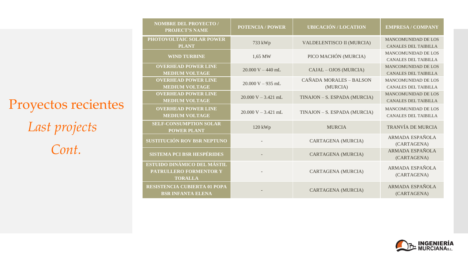*Cont.* Proyectos recientes *Last projects*

| <b>NOMBRE DEL PROYECTO /</b><br><b>PROJECT'S NAME</b>                          | <b>POTENCIA / POWER</b> | <b>UBICACIÓN / LOCATION</b>         | <b>EMPRESA / COMPANY</b>                                  |
|--------------------------------------------------------------------------------|-------------------------|-------------------------------------|-----------------------------------------------------------|
| PHOTOVOLTAIC SOLAR POWER<br><b>PLANT</b>                                       | 733 kWp                 | VALDELENTISCO II (MURCIA)           | <b>MANCOMUNIDAD DE LOS</b><br><b>CANALES DEL TAIBILLA</b> |
| <b>WIND TURBINE</b>                                                            | 1,65 MW                 | PICO MACHÓN (MURCIA)                | <b>MANCOMUNIDAD DE LOS</b><br><b>CANALES DEL TAIBILLA</b> |
| <b>OVERHEAD POWER LINE</b><br><b>MEDIUM VOLTAGE</b>                            | $20.000 V - 440 mL$     | CAJAL - OJOS (MURCIA)               | <b>MANCOMUNIDAD DE LOS</b><br><b>CANALES DEL TAIBILLA</b> |
| <b>OVERHEAD POWER LINE</b><br><b>MEDIUM VOLTAGE</b>                            | $20.000 V - 935 mL$     | CAÑADA MORALES - BALSON<br>(MURCIA) | <b>MANCOMUNIDAD DE LOS</b><br><b>CANALES DEL TAIBILLA</b> |
| <b>OVERHEAD POWER LINE</b><br><b>MEDIUM VOLTAGE</b>                            | $20.000 V - 3.421 mL$   | TINAJON - S. ESPADA (MURCIA)        | <b>MANCOMUNIDAD DE LOS</b><br><b>CANALES DEL TAIBILLA</b> |
| <b>OVERHEAD POWER LINE</b><br><b>MEDIUM VOLTAGE</b>                            | $20.000 V - 3.421 mL$   | TINAJON - S. ESPADA (MURCIA)        | <b>MANCOMUNIDAD DE LOS</b><br><b>CANALES DEL TAIBILLA</b> |
| <b>SELF-CONSUMPTION SOLAR</b><br><b>POWER PLANT</b>                            | 120 kWp                 | <b>MURCIA</b>                       | <b>TRANVÍA DE MURCIA</b>                                  |
| SUSTITUCIÓN ROV BSR NEPTUNO                                                    |                         | CARTAGENA (MURCIA)                  | ARMADA ESPAÑOLA<br>(CARTAGENA)                            |
| <b>SISTEMA PCI BSR HESPÉRIDES</b>                                              |                         | CARTAGENA (MURCIA)                  | <b>ARMADA ESPAÑOLA</b><br>(CARTAGENA)                     |
| ESTUIDO DINÁMICO DEL MÁSTIL<br><b>PATRULLERO FORMENTOR Y</b><br><b>TORALLA</b> |                         | CARTAGENA (MURCIA)                  | ARMADA ESPAÑOLA<br>(CARTAGENA)                            |
| RESISTENCIA CUBIERTA 01 POPA<br><b>BSR INFANTA ELENA</b>                       |                         | CARTAGENA (MURCIA)                  | ARMADA ESPAÑOLA<br>(CARTAGENA)                            |

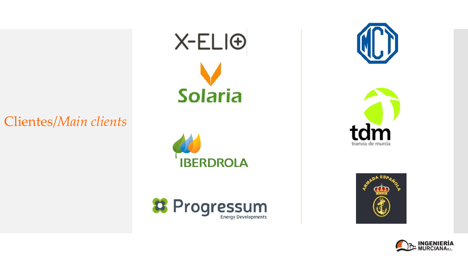## Clientes/*Main clients*